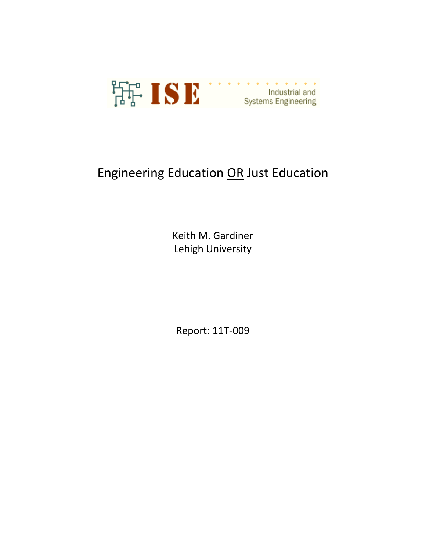

# Engineering Education OR Just Education

Keith M. Gardiner Lehigh University

Report: 11T-009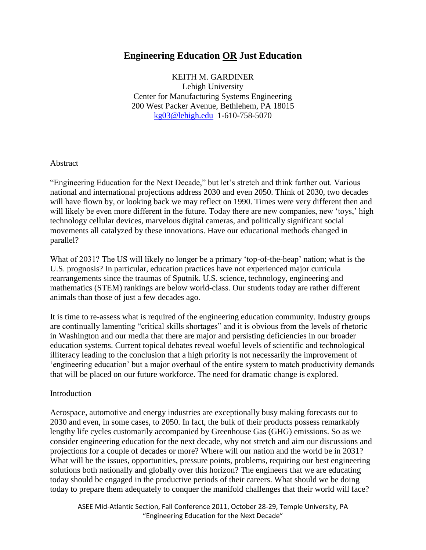## **Engineering Education OR Just Education**

KEITH M. GARDINER Lehigh University Center for Manufacturing Systems Engineering 200 West Packer Avenue, Bethlehem, PA 18015 [kg03@lehigh.edu](mailto:kg03@lehigh.edu) 1-610-758-5070

#### Abstract

"Engineering Education for the Next Decade," but let"s stretch and think farther out. Various national and international projections address 2030 and even 2050. Think of 2030, two decades will have flown by, or looking back we may reflect on 1990. Times were very different then and will likely be even more different in the future. Today there are new companies, new 'toys,' high technology cellular devices, marvelous digital cameras, and politically significant social movements all catalyzed by these innovations. Have our educational methods changed in parallel?

What of 2031? The US will likely no longer be a primary 'top-of-the-heap' nation; what is the U.S. prognosis? In particular, education practices have not experienced major curricula rearrangements since the traumas of Sputnik. U.S. science, technology, engineering and mathematics (STEM) rankings are below world-class. Our students today are rather different animals than those of just a few decades ago.

It is time to re-assess what is required of the engineering education community. Industry groups are continually lamenting "critical skills shortages" and it is obvious from the levels of rhetoric in Washington and our media that there are major and persisting deficiencies in our broader education systems. Current topical debates reveal woeful levels of scientific and technological illiteracy leading to the conclusion that a high priority is not necessarily the improvement of "engineering education" but a major overhaul of the entire system to match productivity demands that will be placed on our future workforce. The need for dramatic change is explored.

#### Introduction

Aerospace, automotive and energy industries are exceptionally busy making forecasts out to 2030 and even, in some cases, to 2050. In fact, the bulk of their products possess remarkably lengthy life cycles customarily accompanied by Greenhouse Gas (GHG) emissions. So as we consider engineering education for the next decade, why not stretch and aim our discussions and projections for a couple of decades or more? Where will our nation and the world be in 2031? What will be the issues, opportunities, pressure points, problems, requiring our best engineering solutions both nationally and globally over this horizon? The engineers that we are educating today should be engaged in the productive periods of their careers. What should we be doing today to prepare them adequately to conquer the manifold challenges that their world will face?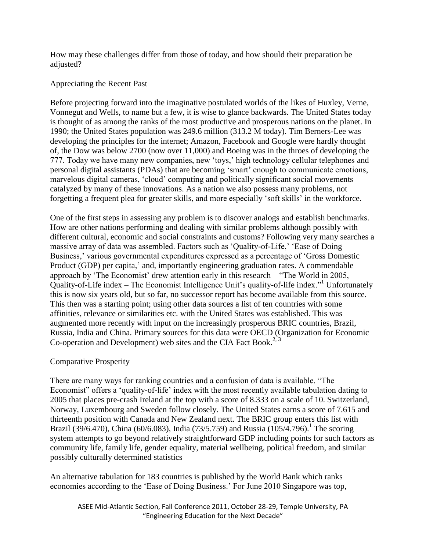How may these challenges differ from those of today, and how should their preparation be adjusted?

#### Appreciating the Recent Past

Before projecting forward into the imaginative postulated worlds of the likes of Huxley, Verne, Vonnegut and Wells, to name but a few, it is wise to glance backwards. The United States today is thought of as among the ranks of the most productive and prosperous nations on the planet. In 1990; the United States population was 249.6 million (313.2 M today). Tim Berners-Lee was developing the principles for the internet; Amazon, Facebook and Google were hardly thought of, the Dow was below 2700 (now over 11,000) and Boeing was in the throes of developing the 777. Today we have many new companies, new "toys," high technology cellular telephones and personal digital assistants (PDAs) that are becoming "smart" enough to communicate emotions, marvelous digital cameras, "cloud" computing and politically significant social movements catalyzed by many of these innovations. As a nation we also possess many problems, not forgetting a frequent plea for greater skills, and more especially "soft skills" in the workforce.

One of the first steps in assessing any problem is to discover analogs and establish benchmarks. How are other nations performing and dealing with similar problems although possibly with different cultural, economic and social constraints and customs? Following very many searches a massive array of data was assembled. Factors such as 'Quality-of-Life,' 'Ease of Doing Business,' various governmental expenditures expressed as a percentage of 'Gross Domestic Product (GDP) per capita,' and, importantly engineering graduation rates. A commendable approach by "The Economist" drew attention early in this research – "The World in 2005, Quality-of-Life index – The Economist Intelligence Unit's quality-of-life index." Unfortunately this is now six years old, but so far, no successor report has become available from this source. This then was a starting point; using other data sources a list of ten countries with some affinities, relevance or similarities etc. with the United States was established. This was augmented more recently with input on the increasingly prosperous BRIC countries, Brazil, Russia, India and China. Primary sources for this data were OECD (Organization for Economic Co-operation and Development) web sites and the CIA Fact Book.<sup>2, 3</sup>

#### Comparative Prosperity

There are many ways for ranking countries and a confusion of data is available. "The Economist" offers a "quality-of-life" index with the most recently available tabulation dating to 2005 that places pre-crash Ireland at the top with a score of 8.333 on a scale of 10. Switzerland, Norway, Luxembourg and Sweden follow closely. The United States earns a score of 7.615 and thirteenth position with Canada and New Zealand next. The BRIC group enters this list with Brazil (39/6.470), China (60/6.083), India (73/5.759) and Russia (105/4.796).<sup>1</sup> The scoring system attempts to go beyond relatively straightforward GDP including points for such factors as community life, family life, gender equality, material wellbeing, political freedom, and similar possibly culturally determined statistics

An alternative tabulation for 183 countries is published by the World Bank which ranks economies according to the "Ease of Doing Business." For June 2010 Singapore was top,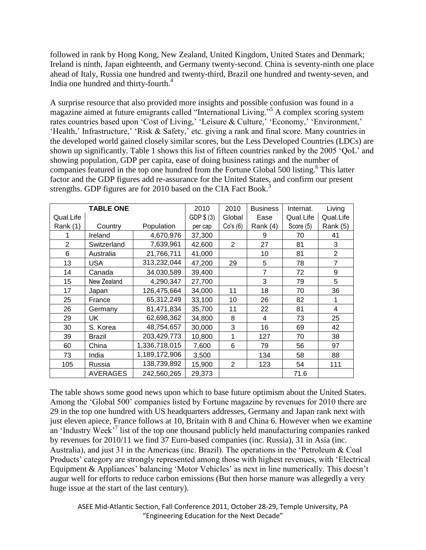followed in rank by Hong Kong, New Zealand, United Kingdom, United States and Denmark; Ireland is ninth, Japan eighteenth, and Germany twenty-second. China is seventy-ninth one place ahead of Italy, Russia one hundred and twenty-third, Brazil one hundred and twenty-seven, and India one hundred and thirty-fourth. 4

A surprise resource that also provided more insights and possible confusion was found in a magazine aimed at future emigrants called "International Living." <sup>5</sup> A complex scoring system rates countries based upon 'Cost of Living,' 'Leisure & Culture,' 'Economy,' 'Environment,' 'Health,' Infrastructure,' 'Risk & Safety,' etc. giving a rank and final score. Many countries in the developed world gained closely similar scores, but the Less Developed Countries (LDCs) are shown up significantly. Table 1 shows this list of fifteen countries ranked by the 2005 "QoL" and showing population, GDP per capita, ease of doing business ratings and the number of companies featured in the top one hundred from the Fortune Global 500 listing. 6 This latter factor and the GDP figures add re-assurance for the United States, and confirm our present strengths. GDP figures are for 2010 based on the CIA Fact Book.<sup>3</sup>

| <b>TABLE ONE</b> |                 |               | 2010        | 2010           | <b>Business</b> | Internat. | Living           |
|------------------|-----------------|---------------|-------------|----------------|-----------------|-----------|------------------|
| Qual.Life        |                 |               | GDP $$$ (3) | Global         | Ease            | Qual.Life | Qual.Life        |
| Rank $(1)$       | Country         | Population    | per cap     | Co's(6)        | Rank (4)        | Score (5) | Rank (5)         |
|                  | Ireland         | 4,670,976     | 37,300      |                | 9               | 70        | 41               |
| $\overline{2}$   | Switzerland     | 7,639,961     | 42,600      | $\overline{2}$ | 27              | 81        | 3                |
| 6                | Australia       | 21,766,711    | 41,000      |                | 10              | 81        | $\overline{2}$   |
| 13               | <b>USA</b>      | 313,232,044   | 47,200      | 29             | 5               | 78        | $\overline{7}$   |
| 14               | Canada          | 34,030,589    | 39,400      |                | $\overline{7}$  | 72        | $\boldsymbol{9}$ |
| 15               | New Zealand     | 4,290,347     | 27,700      |                | 3               | 79        | 5                |
| 17               | Japan           | 126,475,664   | 34,000      | 11             | 18              | 70        | 36               |
| 25               | France          | 65,312,249    | 33,100      | 10             | 26              | 82        |                  |
| 26               | Germany         | 81,471,834    | 35,700      | 11             | 22              | 81        | 4                |
| 29               | UK              | 62,698,362    | 34,800      | 8              | 4               | 73        | 25               |
| 30               | S. Korea        | 48,754,657    | 30,000      | 3              | 16              | 69        | 42               |
| 39               | <b>Brazil</b>   | 203,429,773   | 10,800      | 1              | 127             | 70        | 38               |
| 60               | China           | 1,336,718,015 | 7,600       | 6              | 79              | 56        | 97               |
| 73               | India           | 1,189,172,906 | 3,500       |                | 134             | 58        | 88               |
| 105              | Russia          | 138,739,892   | 15,900      | $\overline{2}$ | 123             | 54        | 111              |
|                  | <b>AVERAGES</b> | 242,560,265   | 29,373      |                |                 | 71.6      |                  |

The table shows some good news upon which to base future optimism about the United States. Among the "Global 500" companies listed by Fortune magazine by revenues for 2010 there are 29 in the top one hundred with US headquarters addresses, Germany and Japan rank next with just eleven apiece, France follows at 10, Britain with 8 and China 6. However when we examine an 'Industry Week'<sup>7</sup> list of the top one thousand publicly held manufacturing companies ranked by revenues for 2010/11 we find 37 Euro-based companies (inc. Russia), 31 in Asia (inc. Australia), and just 31 in the Americas (inc. Brazil). The operations in the "Petroleum & Coal Products' category are strongly represented among those with highest revenues, with 'Electrical' Equipment & Appliances' balancing 'Motor Vehicles' as next in line numerically. This doesn't augur well for efforts to reduce carbon emissions (But then horse manure was allegedly a very huge issue at the start of the last century).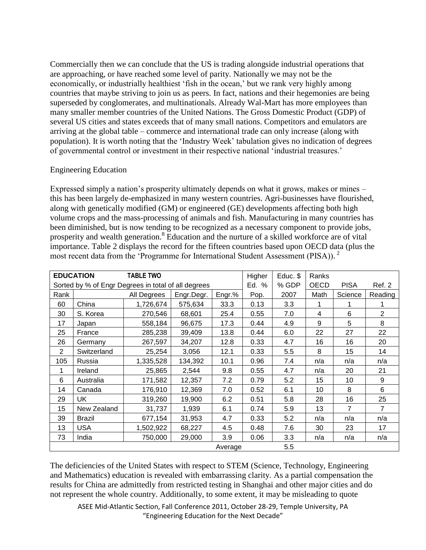Commercially then we can conclude that the US is trading alongside industrial operations that are approaching, or have reached some level of parity. Nationally we may not be the economically, or industrially healthiest 'fish in the ocean,' but we rank very highly among countries that maybe striving to join us as peers. In fact, nations and their hegemonies are being superseded by conglomerates, and multinationals. Already Wal-Mart has more employees than many smaller member countries of the United Nations. The Gross Domestic Product (GDP) of several US cities and states exceeds that of many small nations. Competitors and emulators are arriving at the global table – commerce and international trade can only increase (along with population). It is worth noting that the "Industry Week" tabulation gives no indication of degrees of governmental control or investment in their respective national "industrial treasures."

#### Engineering Education

Expressed simply a nation"s prosperity ultimately depends on what it grows, makes or mines – this has been largely de-emphasized in many western countries. Agri-businesses have flourished, along with genetically modified (GM) or engineered (GE) developments affecting both high volume crops and the mass-processing of animals and fish. Manufacturing in many countries has been diminished, but is now tending to be recognized as a necessary component to provide jobs, prosperity and wealth generation.<sup>8</sup> Education and the nurture of a skilled workforce are of vital importance. Table 2 displays the record for the fifteen countries based upon OECD data (plus the most recent data from the 'Programme for International Student Assessment (PISA)).<sup>2</sup>

| <b>EDUCATION</b><br><b>TABLE TWO</b>                |               |             |            |        | Higher | Educ. \$    | Ranks  |         |                |
|-----------------------------------------------------|---------------|-------------|------------|--------|--------|-------------|--------|---------|----------------|
| Sorted by % of Engr Degrees in total of all degrees |               |             | Ed. %      | % GDP  | OECD   | <b>PISA</b> | Ref. 2 |         |                |
| Rank                                                |               | All Degrees | Engr.Degr. | Engr.% | Pop.   | 2007        | Math   | Science | Reading        |
| 60                                                  | China         | 1,726,674   | 575,634    | 33.3   | 0.13   | 3.3         | 1      |         |                |
| 30                                                  | S. Korea      | 270,546     | 68,601     | 25.4   | 0.55   | 7.0         | 4      | 6       | $\overline{2}$ |
| 17                                                  | Japan         | 558,184     | 96,675     | 17.3   | 0.44   | 4.9         | 9      | 5       | 8              |
| 25                                                  | France        | 285,238     | 39,409     | 13.8   | 0.44   | 6.0         | 22     | 27      | 22             |
| 26                                                  | Germany       | 267,597     | 34,207     | 12.8   | 0.33   | 4.7         | 16     | 16      | 20             |
| $\overline{2}$                                      | Switzerland   | 25,254      | 3,056      | 12.1   | 0.33   | 5.5         | 8      | 15      | 14             |
| 105                                                 | Russia        | 1,335,528   | 134,392    | 10.1   | 0.96   | 7.4         | n/a    | n/a     | n/a            |
| 1                                                   | Ireland       | 25,865      | 2,544      | 9.8    | 0.55   | 4.7         | n/a    | 20      | 21             |
| 6                                                   | Australia     | 171,582     | 12,357     | 7.2    | 0.79   | 5.2         | 15     | 10      | 9              |
| 14                                                  | Canada        | 176,910     | 12,369     | 7.0    | 0.52   | 6.1         | 10     | 8       | 6              |
| 29                                                  | UK            | 319,260     | 19,900     | 6.2    | 0.51   | 5.8         | 28     | 16      | 25             |
| 15                                                  | New Zealand   | 31,737      | 1,939      | 6.1    | 0.74   | 5.9         | 13     | 7       | $\overline{7}$ |
| 39                                                  | <b>Brazil</b> | 677,154     | 31,953     | 4.7    | 0.33   | 5.2         | n/a    | n/a     | n/a            |
| 13                                                  | <b>USA</b>    | 1,502,922   | 68,227     | 4.5    | 0.48   | 7.6         | 30     | 23      | 17             |
| 73                                                  | India         | 750,000     | 29,000     | 3.9    | 0.06   | 3.3         | n/a    | n/a     | n/a            |
| Average                                             |               |             |            |        | 5.5    |             |        |         |                |

The deficiencies of the United States with respect to STEM (Science, Technology, Engineering and Mathematics) education is revealed with embarrassing clarity. As a partial compensation the results for China are admittedly from restricted testing in Shanghai and other major cities and do not represent the whole country. Additionally, to some extent, it may be misleading to quote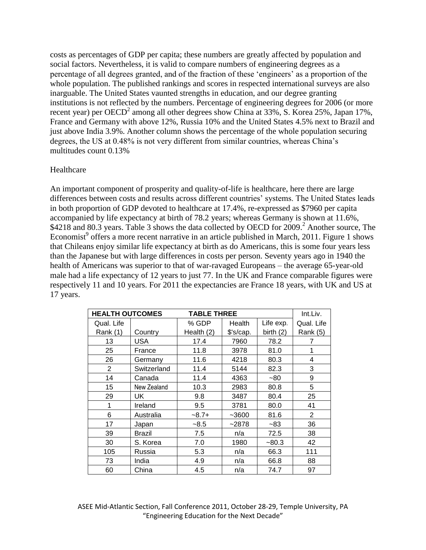costs as percentages of GDP per capita; these numbers are greatly affected by population and social factors. Nevertheless, it is valid to compare numbers of engineering degrees as a percentage of all degrees granted, and of the fraction of these "engineers" as a proportion of the whole population. The published rankings and scores in respected international surveys are also inarguable. The United States vaunted strengths in education, and our degree granting institutions is not reflected by the numbers. Percentage of engineering degrees for 2006 (or more recent year) per OECD<sup>2</sup> among all other degrees show China at 33%, S. Korea 25%, Japan 17%, France and Germany with above 12%, Russia 10% and the United States 4.5% next to Brazil and just above India 3.9%. Another column shows the percentage of the whole population securing degrees, the US at 0.48% is not very different from similar countries, whereas China"s multitudes count 0.13%

#### Healthcare

An important component of prosperity and quality-of-life is healthcare, here there are large differences between costs and results across different countries' systems. The United States leads in both proportion of GDP devoted to healthcare at 17.4%, re-expressed as \$7960 per capita accompanied by life expectancy at birth of 78.2 years; whereas Germany is shown at 11.6%, \$4218 and 80.3 years. Table 3 shows the data collected by OECD for 2009.<sup>2</sup> Another source, The Economist<sup>9</sup> offers a more recent narrative in an article published in March, 2011. Figure 1 shows that Chileans enjoy similar life expectancy at birth as do Americans, this is some four years less than the Japanese but with large differences in costs per person. Seventy years ago in 1940 the health of Americans was superior to that of war-ravaged Europeans – the average 65-year-old male had a life expectancy of 12 years to just 77. In the UK and France comparable figures were respectively 11 and 10 years. For 2011 the expectancies are France 18 years, with UK and US at 17 years.

| <b>HEALTH OUTCOMES</b> |             | <b>TABLE THREE</b> |           | Int.Liv.    |                |
|------------------------|-------------|--------------------|-----------|-------------|----------------|
| Qual. Life             |             | % GDP              | Health    | Life exp.   | Qual. Life     |
| Rank (1)               | Country     | Health (2)         | \$'s/cap. | birth $(2)$ | Rank (5)       |
| 13                     | USA         | 17.4               | 7960      | 78.2        | 7              |
| 25                     | France      | 11.8               | 3978      | 81.0        | 1              |
| 26                     | Germany     | 11.6               | 4218      | 80.3        | 4              |
| 2                      | Switzerland | 11.4               | 5144      | 82.3        | 3              |
| 14                     | Canada      | 11.4               | 4363      | $-80$       | 9              |
| 15                     | New Zealand | 10.3               | 2983      | 80.8        | 5              |
| 29                     | UK          | 9.8                | 3487      | 80.4        | 25             |
| 1                      | Ireland     | 9.5                | 3781      | 80.0        | 41             |
| 6                      | Australia   | $-8.7+$            | $-3600$   | 81.6        | $\overline{2}$ |
| 17                     | Japan       | $-8.5$             | $-2878$   | $-83$       | 36             |
| 39                     | Brazil      | 7.5                | n/a       | 72.5        | 38             |
| 30                     | S. Korea    | 7.0                | 1980      | $-80.3$     | 42             |
| 105                    | Russia      | 5.3                | n/a       | 66.3        | 111            |
| 73                     | India       | 4.9                | n/a       | 66.8        | 88             |
| 60                     | China       | 4.5                | n/a       | 74.7        | 97             |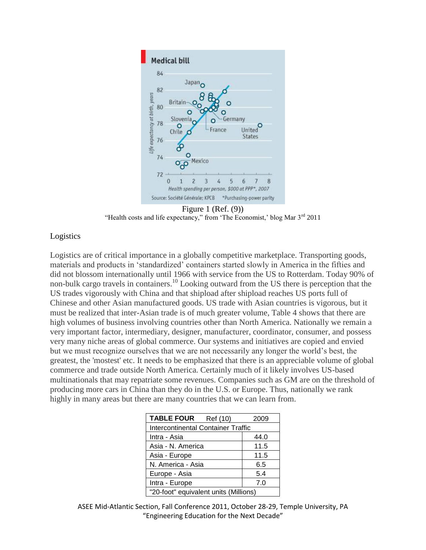

Figure 1 (Ref. (9)) "Health costs and life expectancy," from 'The Economist,' blog Mar 3<sup>rd</sup> 2011

#### Logistics

Logistics are of critical importance in a globally competitive marketplace. Transporting goods, materials and products in "standardized" containers started slowly in America in the fifties and did not blossom internationally until 1966 with service from the US to Rotterdam. Today 90% of non-bulk cargo travels in containers.<sup>10</sup> Looking outward from the US there is perception that the US trades vigorously with China and that shipload after shipload reaches US ports full of Chinese and other Asian manufactured goods. US trade with Asian countries is vigorous, but it must be realized that inter-Asian trade is of much greater volume, Table 4 shows that there are high volumes of business involving countries other than North America. Nationally we remain a very important factor, intermediary, designer, manufacturer, coordinator, consumer, and possess very many niche areas of global commerce. Our systems and initiatives are copied and envied but we must recognize ourselves that we are not necessarily any longer the world"s best, the greatest, the 'mostest' etc. It needs to be emphasized that there is an appreciable volume of global commerce and trade outside North America. Certainly much of it likely involves US-based multinationals that may repatriate some revenues. Companies such as GM are on the threshold of producing more cars in China than they do in the U.S. or Europe. Thus, nationally we rank highly in many areas but there are many countries that we can learn from.

| <b>TABLE FOUR</b><br>Ref (10)             | 2009 |  |  |  |  |
|-------------------------------------------|------|--|--|--|--|
| <b>Intercontinental Container Traffic</b> |      |  |  |  |  |
| Intra - Asia                              | 44.0 |  |  |  |  |
| Asia - N. America                         | 11.5 |  |  |  |  |
| Asia - Europe                             | 11.5 |  |  |  |  |
| N. America - Asia                         | 6.5  |  |  |  |  |
| Europe - Asia                             | 5.4  |  |  |  |  |
| Intra - Europe                            | 7.0  |  |  |  |  |
| "20-foot" equivalent units (Millions)     |      |  |  |  |  |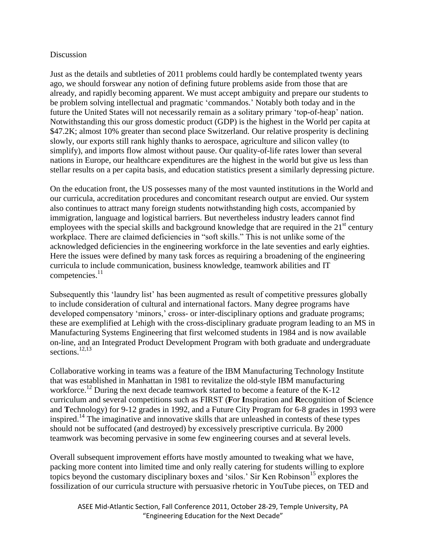#### Discussion

Just as the details and subtleties of 2011 problems could hardly be contemplated twenty years ago, we should forswear any notion of defining future problems aside from those that are already, and rapidly becoming apparent. We must accept ambiguity and prepare our students to be problem solving intellectual and pragmatic "commandos." Notably both today and in the future the United States will not necessarily remain as a solitary primary "top-of-heap" nation. Notwithstanding this our gross domestic product (GDP) is the highest in the World per capita at \$47.2K; almost 10% greater than second place Switzerland. Our relative prosperity is declining slowly, our exports still rank highly thanks to aerospace, agriculture and silicon valley (to simplify), and imports flow almost without pause. Our quality-of-life rates lower than several nations in Europe, our healthcare expenditures are the highest in the world but give us less than stellar results on a per capita basis, and education statistics present a similarly depressing picture.

On the education front, the US possesses many of the most vaunted institutions in the World and our curricula, accreditation procedures and concomitant research output are envied. Our system also continues to attract many foreign students notwithstanding high costs, accompanied by immigration, language and logistical barriers. But nevertheless industry leaders cannot find employees with the special skills and background knowledge that are required in the 21<sup>st</sup> century workplace. There are claimed deficiencies in "soft skills." This is not unlike some of the acknowledged deficiencies in the engineering workforce in the late seventies and early eighties. Here the issues were defined by many task forces as requiring a broadening of the engineering curricula to include communication, business knowledge, teamwork abilities and IT competencies. 11

Subsequently this 'laundry list' has been augmented as result of competitive pressures globally to include consideration of cultural and international factors. Many degree programs have developed compensatory 'minors,' cross- or inter-disciplinary options and graduate programs; these are exemplified at Lehigh with the cross-disciplinary graduate program leading to an MS in Manufacturing Systems Engineering that first welcomed students in 1984 and is now available on-line, and an Integrated Product Development Program with both graduate and undergraduate sections. 12,13

Collaborative working in teams was a feature of the IBM Manufacturing Technology Institute that was established in Manhattan in 1981 to revitalize the old-style IBM manufacturing workforce.<sup>12</sup> During the next decade teamwork started to become a feature of the K-12 curriculum and several competitions such as FIRST (**F**or **I**nspiration and **R**ecognition of **S**cience and **T**echnology) for 9-12 grades in 1992, and a Future City Program for 6-8 grades in 1993 were inspired. 14 The imaginative and innovative skills that are unleashed in contests of these types should not be suffocated (and destroyed) by excessively prescriptive curricula. By 2000 teamwork was becoming pervasive in some few engineering courses and at several levels.

Overall subsequent improvement efforts have mostly amounted to tweaking what we have, packing more content into limited time and only really catering for students willing to explore topics beyond the customary disciplinary boxes and 'silos.' Sir Ken Robinson<sup>15</sup> explores the fossilization of our curricula structure with persuasive rhetoric in YouTube pieces, on TED and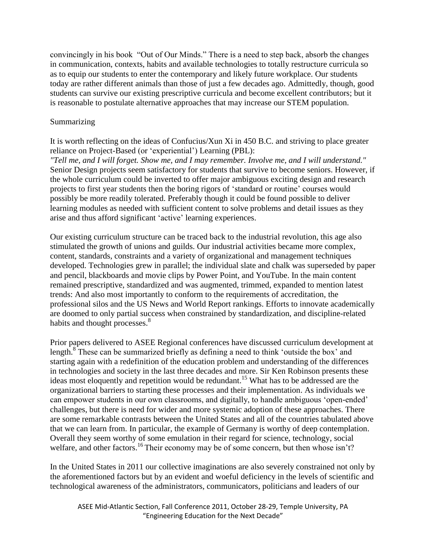convincingly in his book "Out of Our Minds." There is a need to step back, absorb the changes in communication, contexts, habits and available technologies to totally restructure curricula so as to equip our students to enter the contemporary and likely future workplace. Our students today are rather different animals than those of just a few decades ago. Admittedly, though, good students can survive our existing prescriptive curricula and become excellent contributors; but it is reasonable to postulate alternative approaches that may increase our STEM population.

#### **Summarizing**

It is worth reflecting on the ideas of Confucius/Xun Xi in 450 B.C. and striving to place greater reliance on Project-Based (or "experiential") Learning (PBL):

*"Tell me, and I will forget. Show me, and I may remember. Involve me, and I will understand."* Senior Design projects seem satisfactory for students that survive to become seniors. However, if the whole curriculum could be inverted to offer major ambiguous exciting design and research projects to first year students then the boring rigors of "standard or routine" courses would possibly be more readily tolerated. Preferably though it could be found possible to deliver learning modules as needed with sufficient content to solve problems and detail issues as they arise and thus afford significant "active" learning experiences.

Our existing curriculum structure can be traced back to the industrial revolution, this age also stimulated the growth of unions and guilds. Our industrial activities became more complex, content, standards, constraints and a variety of organizational and management techniques developed. Technologies grew in parallel; the individual slate and chalk was superseded by paper and pencil, blackboards and movie clips by Power Point, and YouTube. In the main content remained prescriptive, standardized and was augmented, trimmed, expanded to mention latest trends: And also most importantly to conform to the requirements of accreditation, the professional silos and the US News and World Report rankings. Efforts to innovate academically are doomed to only partial success when constrained by standardization, and discipline-related habits and thought processes.<sup>8</sup>

Prior papers delivered to ASEE Regional conferences have discussed curriculum development at length.<sup>8</sup> These can be summarized briefly as defining a need to think 'outside the box' and starting again with a redefinition of the education problem and understanding of the differences in technologies and society in the last three decades and more. Sir Ken Robinson presents these ideas most eloquently and repetition would be redundant. <sup>15</sup> What has to be addressed are the organizational barriers to starting these processes and their implementation. As individuals we can empower students in our own classrooms, and digitally, to handle ambiguous "open-ended" challenges, but there is need for wider and more systemic adoption of these approaches. There are some remarkable contrasts between the United States and all of the countries tabulated above that we can learn from. In particular, the example of Germany is worthy of deep contemplation. Overall they seem worthy of some emulation in their regard for science, technology, social welfare, and other factors.<sup>16</sup> Their economy may be of some concern, but then whose isn't?

In the United States in 2011 our collective imaginations are also severely constrained not only by the aforementioned factors but by an evident and woeful deficiency in the levels of scientific and technological awareness of the administrators, communicators, politicians and leaders of our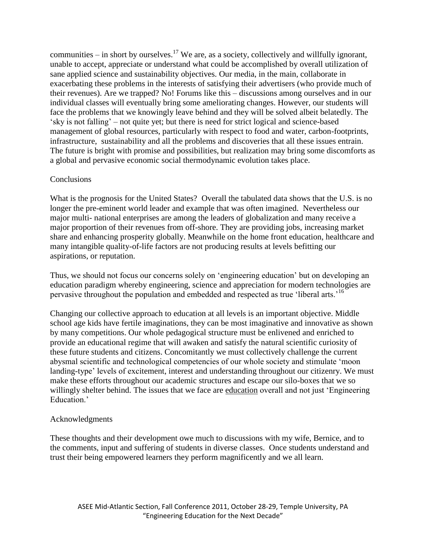communities – in short by ourselves.<sup>17</sup> We are, as a society, collectively and willfully ignorant, unable to accept, appreciate or understand what could be accomplished by overall utilization of sane applied science and sustainability objectives. Our media, in the main, collaborate in exacerbating these problems in the interests of satisfying their advertisers (who provide much of their revenues). Are we trapped? No! Forums like this – discussions among ourselves and in our individual classes will eventually bring some ameliorating changes. However, our students will face the problems that we knowingly leave behind and they will be solved albeit belatedly. The "sky is not falling" – not quite yet; but there is need for strict logical and science-based management of global resources, particularly with respect to food and water, carbon-footprints, infrastructure, sustainability and all the problems and discoveries that all these issues entrain. The future is bright with promise and possibilities, but realization may bring some discomforts as a global and pervasive economic social thermodynamic evolution takes place.

### **Conclusions**

What is the prognosis for the United States? Overall the tabulated data shows that the U.S. is no longer the pre-eminent world leader and example that was often imagined. Nevertheless our major multi- national enterprises are among the leaders of globalization and many receive a major proportion of their revenues from off-shore. They are providing jobs, increasing market share and enhancing prosperity globally. Meanwhile on the home front education, healthcare and many intangible quality-of-life factors are not producing results at levels befitting our aspirations, or reputation.

Thus, we should not focus our concerns solely on "engineering education" but on developing an education paradigm whereby engineering, science and appreciation for modern technologies are pervasive throughout the population and embedded and respected as true 'liberal arts.<sup>16</sup>

Changing our collective approach to education at all levels is an important objective. Middle school age kids have fertile imaginations, they can be most imaginative and innovative as shown by many competitions. Our whole pedagogical structure must be enlivened and enriched to provide an educational regime that will awaken and satisfy the natural scientific curiosity of these future students and citizens. Concomitantly we must collectively challenge the current abysmal scientific and technological competencies of our whole society and stimulate "moon landing-type' levels of excitement, interest and understanding throughout our citizenry. We must make these efforts throughout our academic structures and escape our silo-boxes that we so willingly shelter behind. The issues that we face are education overall and not just 'Engineering Education<sup>'</sup>

#### Acknowledgments

These thoughts and their development owe much to discussions with my wife, Bernice, and to the comments, input and suffering of students in diverse classes. Once students understand and trust their being empowered learners they perform magnificently and we all learn.